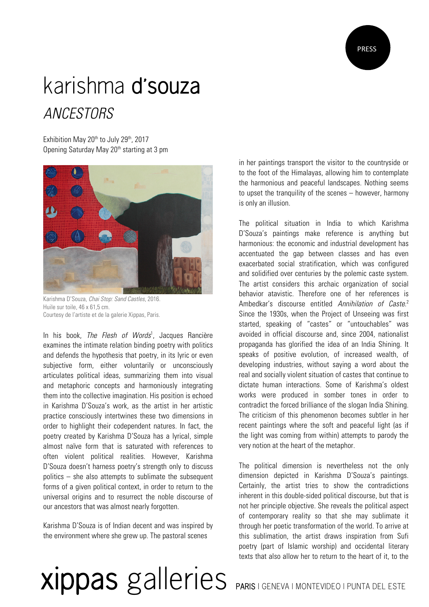

## karishma d'souza *ANCESTORS*

Exhibition May 20<sup>th</sup> to July 29<sup>th</sup>, 2017 Opening Saturday May 20<sup>th</sup> starting at 3 pm



Karishma D'Souza, *Chai Stop: Sand Castles*, 2016. Huile sur toile, 46 x 61,5 cm. Courtesy de l'artiste et de la galerie Xippas, Paris.

In his book, *The Flesh of Words*<sup>1</sup> , Jacques Rancière examines the intimate relation binding poetry with politics and defends the hypothesis that poetry, in its lyric or even subjective form, either voluntarily or unconsciously articulates political ideas, summarizing them into visual and metaphoric concepts and harmoniously integrating them into the collective imagination. His position is echoed in Karishma D'Souza's work, as the artist in her artistic practice consciously intertwines these two dimensions in order to highlight their codependent natures. In fact, the poetry created by Karishma D'Souza has a lyrical, simple almost naïve form that is saturated with references to often violent political realities. However, Karishma D'Souza doesn't harness poetry's strength only to discuss politics – she also attempts to sublimate the subsequent forms of a given political context, in order to return to the universal origins and to resurrect the noble discourse of our ancestors that was almost nearly forgotten.

Karishma D'Souza is of Indian decent and was inspired by the environment where she grew up. The pastoral scenes

in her paintings transport the visitor to the countryside or to the foot of the Himalayas, allowing him to contemplate the harmonious and peaceful landscapes. Nothing seems to upset the tranquility of the scenes – however, harmony is only an illusion.

The political situation in India to which Karishma D'Souza's paintings make reference is anything but harmonious: the economic and industrial development has accentuated the gap between classes and has even exacerbated social stratification, which was configured and solidified over centuries by the polemic caste system. The artist considers this archaic organization of social behavior atavistic. Therefore one of her references is Ambedkar's discourse entitled *Annihilation of Caste*. 2 Since the 1930s, when the Project of Unseeing was first started, speaking of "castes" or "untouchables" was avoided in official discourse and, since 2004, nationalist propaganda has glorified the idea of an India Shining. It speaks of positive evolution, of increased wealth, of developing industries, without saying a word about the real and socially violent situation of castes that continue to dictate human interactions. Some of Karishma's oldest works were produced in somber tones in order to contradict the forced brilliance of the slogan India Shining. The criticism of this phenomenon becomes subtler in her recent paintings where the soft and peaceful light (as if the light was coming from within) attempts to parody the very notion at the heart of the metaphor.

The political dimension is nevertheless not the only dimension depicted in Karishma D'Souza's paintings. Certainly, the artist tries to show the contradictions inherent in this double-sided political discourse, but that is not her principle objective. She reveals the political aspect of contemporary reality so that she may sublimate it through her poetic transformation of the world. To arrive at this sublimation, the artist draws inspiration from Sufi poetry (part of Islamic worship) and occidental literary texts that also allow her to return to the heart of it, to the

## xippas galleries PARIS | GENEVA | MONTEVIDEO | PUNTA DEL ESTE